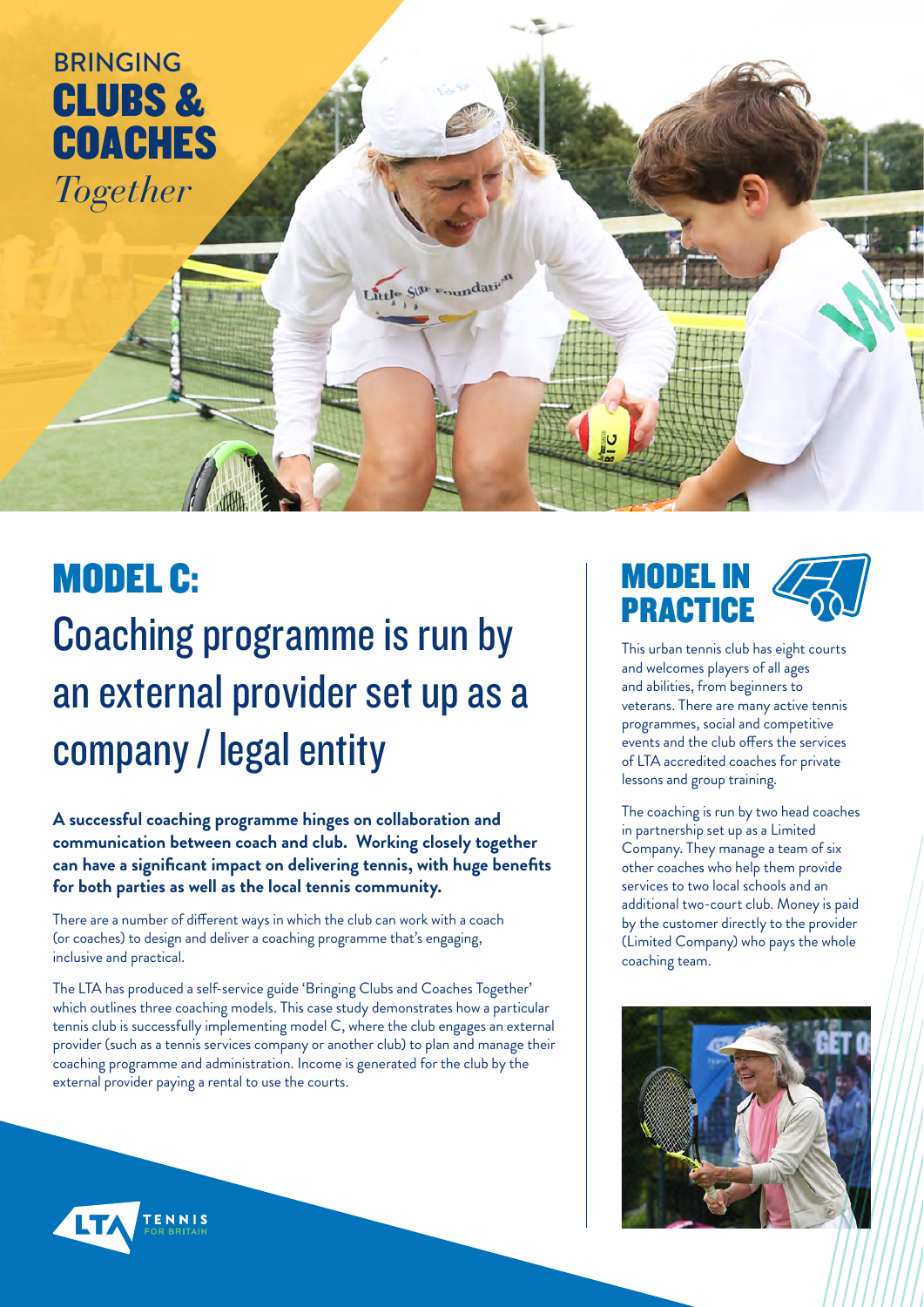CLUBS & **COACHES** BRINGING *Together*

MODEL C: Coaching programme is run by an external provider set up as a company / legal entity

Little Slar Empdation

**A successful coaching programme hinges on collaboration and communication between coach and club. Working closely together can have a significant impact on delivering tennis, with huge benefits for both parties as well as the local tennis community.** 

There are a number of different ways in which the club can work with a coach (or coaches) to design and deliver a coaching programme that's engaging, inclusive and practical.

The LTA has produced a self-service guide 'Bringing Clubs and Coaches Together' which outlines three coaching models. This case study demonstrates how a particular tennis club is successfully implementing model C, where the club engages an external provider (such as a tennis services company or another club) to plan and manage their coaching programme and administration. Income is generated for the club by the external provider paying a rental to use the courts.

#### TENNIS 'LT

# MODEL IN **PRACTICE**

This urban tennis club has eight courts and welcomes players of all ages and abilities, from beginners to veterans. There are many active tennis programmes, social and competitive events and the club offers the services of LTA accredited coaches for private lessons and group training.

The coaching is run by two head coaches in partnership set up as a Limited Company. They manage a team of six other coaches who help them provide services to two local schools and an additional two-court club. Money is paid by the customer directly to the provider (Limited Company) who pays the whole coaching team.